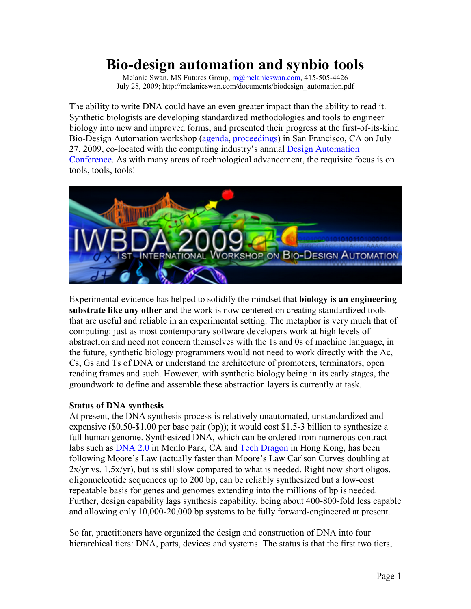# **Bio-design automation and synbio tools**

Melanie Swan, MS Futures Group, m@melanieswan.com, 415-505-4426 July 28, 2009; http://melanieswan.com/documents/biodesign\_automation.pdf

The ability to write DNA could have an even greater impact than the ability to read it. Synthetic biologists are developing standardized methodologies and tools to engineer biology into new and improved forms, and presented their progress at the first-of-its-kind Bio-Design Automation workshop (agenda, proceedings) in San Francisco, CA on July 27, 2009, co-located with the computing industry's annual Design Automation Conference. As with many areas of technological advancement, the requisite focus is on tools, tools, tools!



Experimental evidence has helped to solidify the mindset that **biology is an engineering substrate like any other** and the work is now centered on creating standardized tools that are useful and reliable in an experimental setting. The metaphor is very much that of computing: just as most contemporary software developers work at high levels of abstraction and need not concern themselves with the 1s and 0s of machine language, in the future, synthetic biology programmers would not need to work directly with the Ac, Cs, Gs and Ts of DNA or understand the architecture of promoters, terminators, open reading frames and such. However, with synthetic biology being in its early stages, the groundwork to define and assemble these abstraction layers is currently at task.

#### **Status of DNA synthesis**

At present, the DNA synthesis process is relatively unautomated, unstandardized and expensive (\$0.50-\$1.00 per base pair (bp)); it would cost \$1.5-3 billion to synthesize a full human genome. Synthesized DNA, which can be ordered from numerous contract labs such as DNA 2.0 in Menlo Park, CA and Tech Dragon in Hong Kong, has been following Moore's Law (actually faster than Moore's Law Carlson Curves doubling at  $2x/yr$  vs. 1.5 $x/yr$ ), but is still slow compared to what is needed. Right now short oligos, oligonucleotide sequences up to 200 bp, can be reliably synthesized but a low-cost repeatable basis for genes and genomes extending into the millions of bp is needed. Further, design capability lags synthesis capability, being about 400-800-fold less capable and allowing only 10,000-20,000 bp systems to be fully forward-engineered at present.

So far, practitioners have organized the design and construction of DNA into four hierarchical tiers: DNA, parts, devices and systems. The status is that the first two tiers,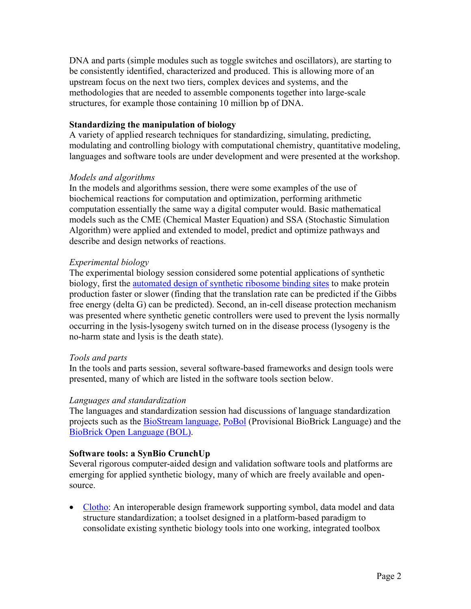DNA and parts (simple modules such as toggle switches and oscillators), are starting to be consistently identified, characterized and produced. This is allowing more of an upstream focus on the next two tiers, complex devices and systems, and the methodologies that are needed to assemble components together into large-scale structures, for example those containing 10 million bp of DNA.

## **Standardizing the manipulation of biology**

A variety of applied research techniques for standardizing, simulating, predicting, modulating and controlling biology with computational chemistry, quantitative modeling, languages and software tools are under development and were presented at the workshop.

### *Models and algorithms*

In the models and algorithms session, there were some examples of the use of biochemical reactions for computation and optimization, performing arithmetic computation essentially the same way a digital computer would. Basic mathematical models such as the CME (Chemical Master Equation) and SSA (Stochastic Simulation Algorithm) were applied and extended to model, predict and optimize pathways and describe and design networks of reactions.

### *Experimental biology*

The experimental biology session considered some potential applications of synthetic biology, first the automated design of synthetic ribosome binding sites to make protein production faster or slower (finding that the translation rate can be predicted if the Gibbs free energy (delta G) can be predicted). Second, an in-cell disease protection mechanism was presented where synthetic genetic controllers were used to prevent the lysis normally occurring in the lysis-lysogeny switch turned on in the disease process (lysogeny is the no-harm state and lysis is the death state).

#### *Tools and parts*

In the tools and parts session, several software-based frameworks and design tools were presented, many of which are listed in the software tools section below.

# *Languages and standardization*

The languages and standardization session had discussions of language standardization projects such as the **BioStream language**, **PoBol** (Provisional BioBrick Language) and the BioBrick Open Language (BOL).

# **Software tools: a SynBio CrunchUp**

Several rigorous computer-aided design and validation software tools and platforms are emerging for applied synthetic biology, many of which are freely available and opensource.

• Clotho: An interoperable design framework supporting symbol, data model and data structure standardization; a toolset designed in a platform-based paradigm to consolidate existing synthetic biology tools into one working, integrated toolbox